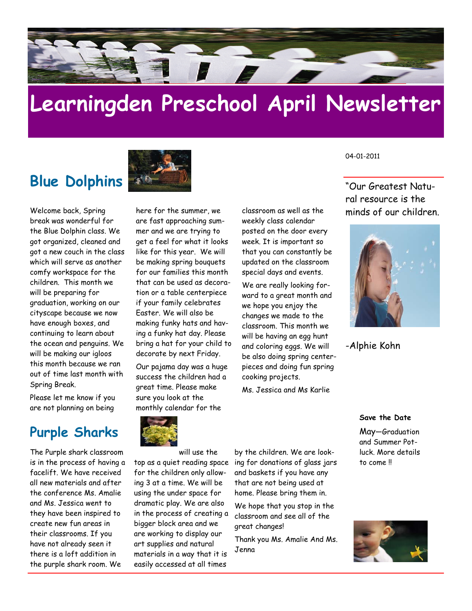

# **Learningden Preschool April Newsletter**

### **Blue Dolphins**



Welcome back, Spring break was wonderful for the Blue Dolphin class. We got organized, cleaned and got a new couch in the class which will serve as another comfy workspace for the children. This month we will be preparing for graduation, working on our cityscape because we now have enough boxes, and continuing to learn about the ocean and penguins. We will be making our igloos this month because we ran out of time last month with Spring Break.

Please let me know if you are not planning on being

### **Purple Sharks**

The Purple shark classroom is in the process of having a facelift. We have received all new materials and after the conference Ms. Amalie and Ms. Jessica went to they have been inspired to create new fun areas in their classrooms. If you have not already seen it there is a loft addition in the purple shark room. We

here for the summer, we are fast approaching summer and we are trying to get a feel for what it looks like for this year. We will be making spring bouquets for our families this month that can be used as decoration or a table centerpiece if your family celebrates Easter. We will also be making funky hats and having a funky hat day. Please bring a hat for your child to decorate by next Friday.

Our pajama day was a huge success the children had a great time. Please make sure you look at the monthly calendar for the

classroom as well as the weekly class calendar posted on the door every week. It is important so that you can constantly be updated on the classroom special days and events.

We are really looking forward to a great month and we hope you enjoy the changes we made to the classroom. This month we will be having an egg hunt and coloring eggs. We will be also doing spring centerpieces and doing fun spring cooking projects.

Ms. Jessica and Ms Karlie

04-01-2011

"Our Greatest Natural resource is the minds of our children.



-Alphie Kohn

**Save the Date** 

May—Graduation and Summer Potluck. More details to come !!





will use the for the children only allowing 3 at a time. We will be using the under space for dramatic play. We are also in the process of creating a bigger block area and we are working to display our art supplies and natural materials in a way that it is easily accessed at all times

top as a quiet reading space ing for donations of glass jars by the children. We are lookand baskets if you have any that are not being used at home. Please bring them in.

> We hope that you stop in the classroom and see all of the great changes!

Thank you Ms. Amalie And Ms. Jenna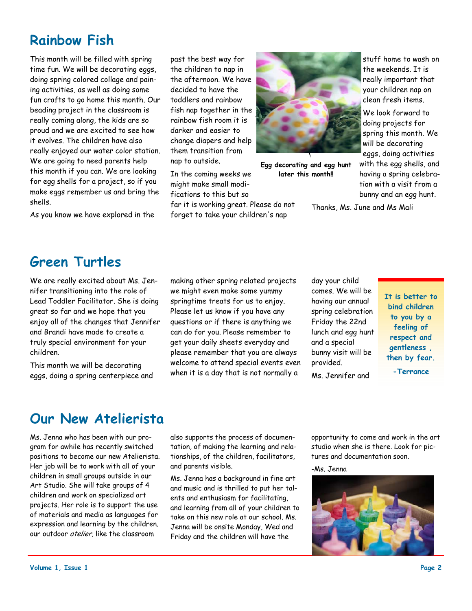### **Rainbow Fish**

This month will be filled with spring time fun. We will be decorating eggs, doing spring colored collage and paining activities, as well as doing some fun crafts to go home this month. Our beading project in the classroom is really coming along, the kids are so proud and we are excited to see how it evolves. The children have also really enjoyed our water color station. We are going to need parents help this month if you can. We are looking for egg shells for a project, so if you make eggs remember us and bring the shells.

As you know we have explored in the

past the best way for the children to nap in the afternoon. We have decided to have the toddlers and rainbow fish nap together in the rainbow fish room it is darker and easier to change diapers and help them transition from nap to outside.

In the coming weeks we might make small modifications to this but so

far it is working great. Please do not forget to take your children's nap



**Egg decorating and egg hunt later this month!!** 

stuff home to wash on the weekends. It is really important that your children nap on clean fresh items.

We look forward to doing projects for spring this month. We will be decorating eggs, doing activities with the egg shells, and having a spring celebration with a visit from a bunny and an egg hunt.

Thanks, Ms. June and Ms Mali

### **Green Turtles**

We are really excited about Ms. Jennifer transitioning into the role of Lead Toddler Facilitator. She is doing great so far and we hope that you enjoy all of the changes that Jennifer and Brandi have made to create a truly special environment for your children.

This month we will be decorating eggs, doing a spring centerpiece and making other spring related projects we might even make some yummy springtime treats for us to enjoy. Please let us know if you have any questions or if there is anything we can do for you. Please remember to get your daily sheets everyday and please remember that you are always welcome to attend special events even when it is a day that is not normally a

day your child comes. We will be having our annual spring celebration Friday the 22nd lunch and egg hunt and a special bunny visit will be provided.

Ms. Jennifer and

**It is better to bind children to you by a feeling of respect and gentleness , then by fear.** 

**-Terrance** 

### **Our New Atelierista**

Ms. Jenna who has been with our program for awhile has recently switched positions to become our new Atelierista. Her job will be to work with all of your children in small groups outside in our Art Studio. She will take groups of 4 children and work on specialized art projects. Her role is to support the use of materials and media as languages for expression and learning by the children. our outdoor atelier, like the classroom

also supports the process of documentation, of making the learning and relationships, of the children, facilitators, and parents visible.

Ms. Jenna has a background in fine art and music and is thrilled to put her talents and enthusiasm for facilitating, and learning from all of your children to take on this new role at our school. Ms. Jenna will be onsite Monday, Wed and Friday and the children will have the

opportunity to come and work in the art studio when she is there. Look for pictures and documentation soon.

-Ms. Jenna